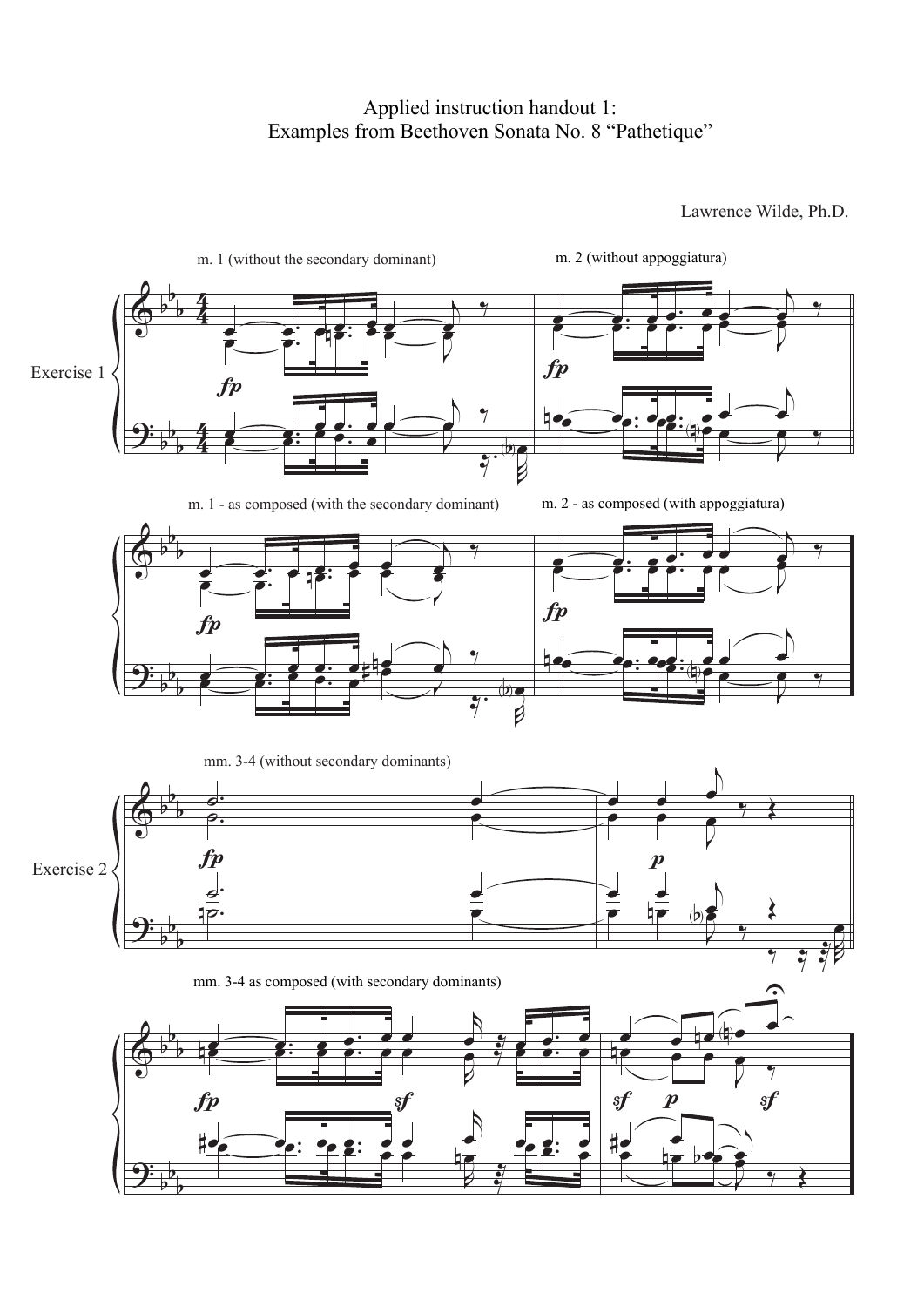## Applied instruction handout 1: Applied instruction handout 1: Examples from Beethoven Sonata No. 8 "Pathetique"

Lawrence Wilde, Ph.D.

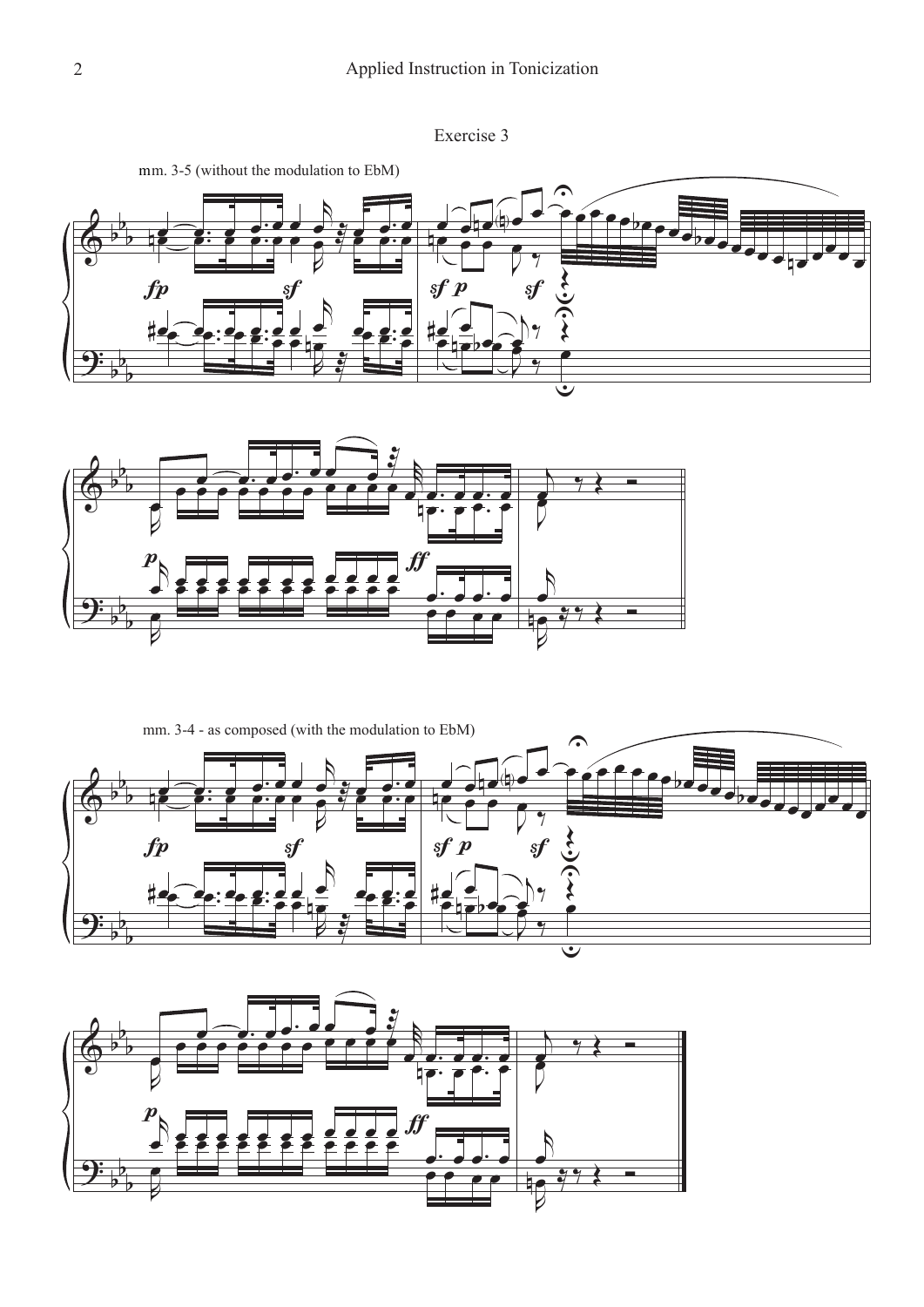









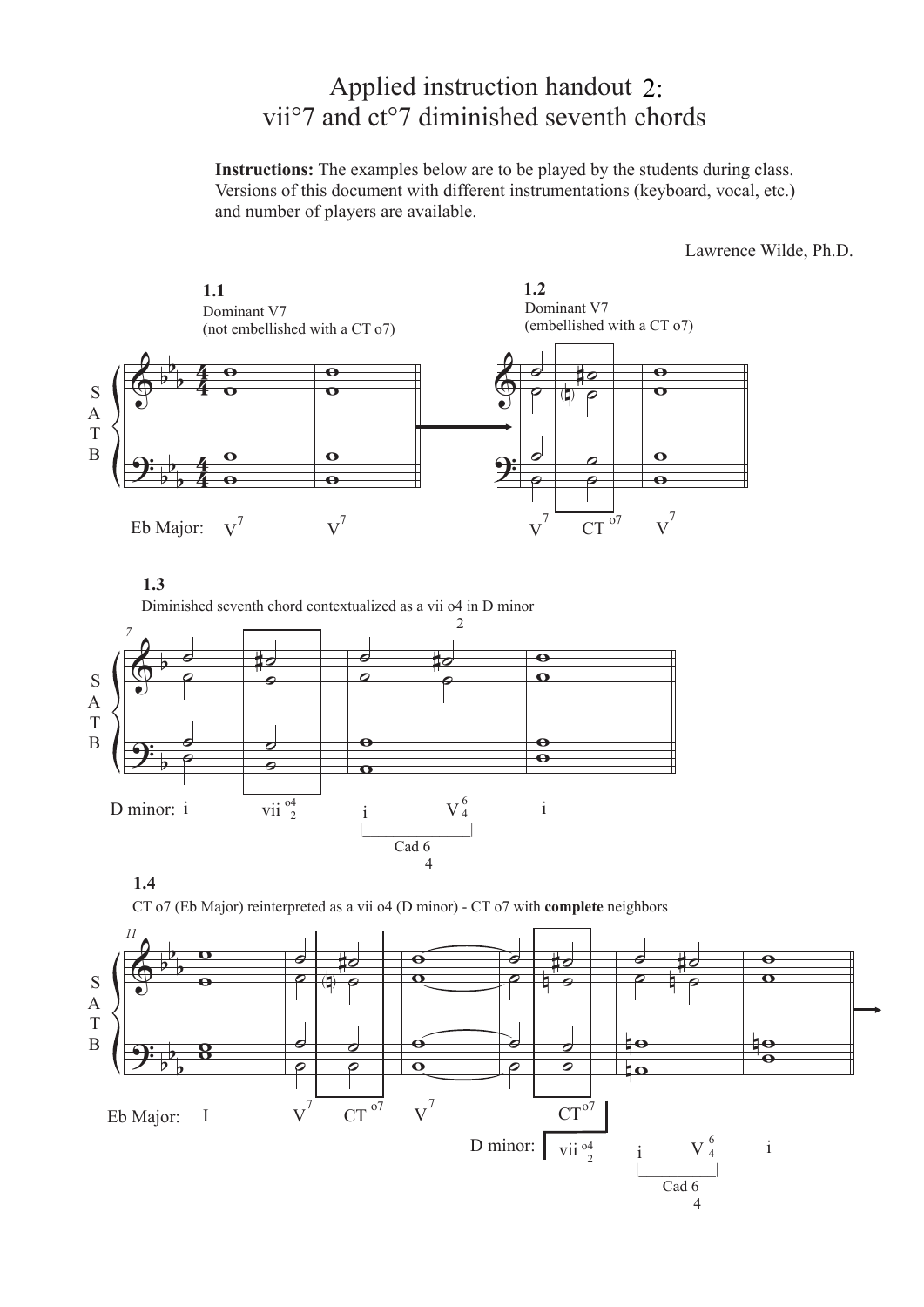## Applied instruction handout 2: vii°7 and ct°7 diminished seventh chords

**Instructions:** The examples below are to be played by the students during class. Versions of this document with different instrumentations (keyboard, vocal, etc.) and number of players are available.

Lawrence Wilde, Ph.D.



CT o7 (Eb Major) reinterpreted as a vii o4 (D minor) - CT o7 with **complete** neighbors